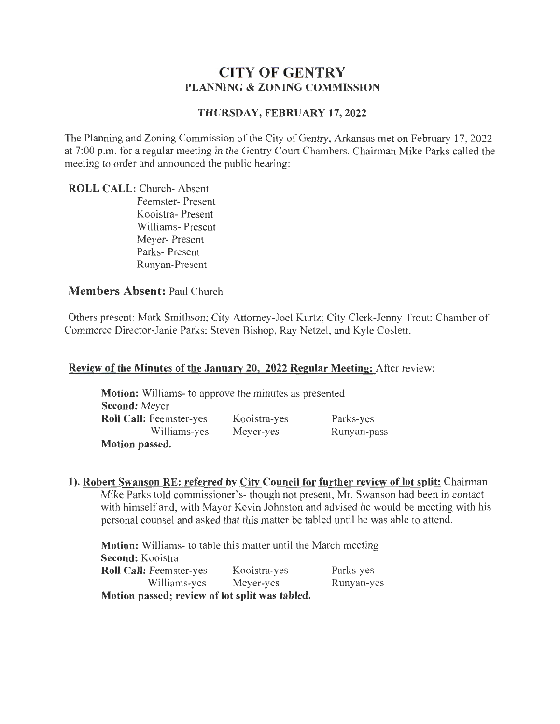# **CITY OF GENTRY PLANNING & ZONING COMMISSION**

#### **THURSDAY, FEBRUARY 17,2022**

The Planning and Zoning Commission of the City of Gentry, Arkansas met on February 17, 2022 at 7:00 p.m. for a regular meeting in the Gentry Court Chambers. Chairman Mike Parks called the meeting to order and announced the public hearing:

**ROLL CALL:** Church- Absent Feemster- Present Kooistra- Present Williams- Present Meyer- Present Parks- Present Runyan-Present

#### **Members Absent:** Paul Church

Others present: Mark Smithson; City Attorney-Joel Kurtz; City Clerk-Jenny Trout; Chamber of Commerce Director-Janie Parks; Steven Bishop, Ray Netzel, and Kyle Coslett.

#### **Review of the Minutes of the January 20, 2022 Regular Meeting:** After review:

| Motion: Williams- to approve the minutes as presented |              |             |
|-------------------------------------------------------|--------------|-------------|
| <b>Second: Meyer</b>                                  |              |             |
| <b>Roll Call: Feemster-yes</b>                        | Kooistra-yes | Parks-yes   |
| Williams-yes                                          | Meyer-yes    | Runyan-pass |
| <b>Motion passed.</b>                                 |              |             |

**1). Robert Swanson RE: referred by City Council for further review of lot split:** Chairman Mike Parks told commissioner's- though not present, Mr. Swanson had been in contact with himself and, with Mayor Kevin Johnston and advised he would be meeting with his personal counsel and asked that this matter be tabled until he was able to attend.

**Motion:** Williams- to table this matter until the March meeting **Second:** Kooistra **Roll Call:** Feemster-yes Kooistra-yes Williams-yes Meyer-yes **Motion passed; review of lot split was tabled.**  Parks-yes Runyan-yes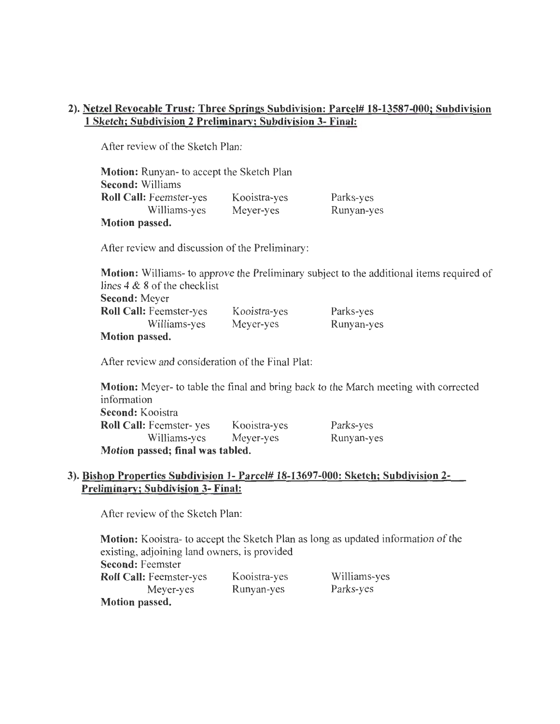### 2). Netzel Revocable Trust: Three Springs Subdivision: Parcel# 18-13587-000; Subdivision 1 Sketch; Subdivision 2 Preliminary; Subdivision 3- Final:

After review of the Sketch Plan:

| <b>Motion:</b> Runyan- to accept the Sketch Plan |              |            |
|--------------------------------------------------|--------------|------------|
| <b>Second: Williams</b>                          |              |            |
| <b>Roll Call:</b> Feemster-yes                   | Kooistra-yes | Parks-yes  |
| Williams-yes                                     | Meyer-yes    | Runyan-yes |
| Motion passed.                                   |              |            |

After review and discussion of the Preliminary:

Motion: Williams- to approve the Preliminary subject to the additional items required of lines 4 & 8 of the checklist Second: Meyer Roll Call: Feemster-yes Williams-yes Kooistra-yes Meyer-yes Parks-yes Runyan-yes

### Motion passed.

After review and consideration of the Final Plat:

Motion: Meyer- to table the final and bring back to the March meeting with corrected information Second: Kooistra Roll Call: Feemster- yes Kooistra-yes Williams-yes Meyer-yes Motion passed; final was tabled. Parks-yes Runyan-yes

#### 3). Bishop Properties Subdivision 1- Parcel# 18-13697-000: Sketch; Subdivision 2- Preliminary; Subdivision 3- Final:

After review of the Sketch Plan:

Motion: Kooistra- to accept the Sketch Plan as long as updated information of the existing, adjoining land owners, is provided Second: Feemster Roll Call: Feemster-yes Meyer-yes Motion passed. Kooistra-yes Runyan-yes Williams-yes Parks-yes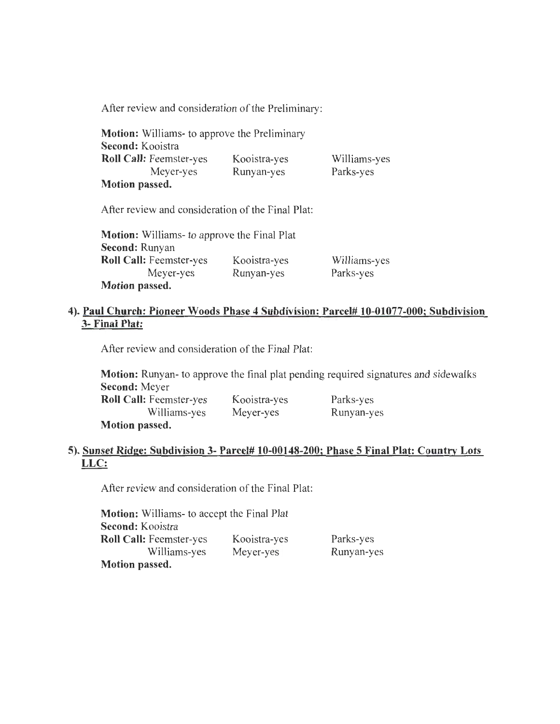After review and consideration of the Preliminary:

| <b>Motion:</b> Williams- to approve the Preliminary |              |              |
|-----------------------------------------------------|--------------|--------------|
| Second: Kooistra                                    |              |              |
| <b>Roll Call: Feemster-yes</b>                      | Kooistra-yes | Williams-yes |
| Meyer-yes                                           | Runyan-yes   | Parks-yes    |
| Motion passed.                                      |              |              |

After review and consideration of the Final Plat:

| <b>Motion:</b> Williams- to approve the Final Plat |              |              |
|----------------------------------------------------|--------------|--------------|
| <b>Second: Runyan</b>                              |              |              |
| <b>Roll Call: Feemster-yes</b>                     | Kooistra-yes | Williams-yes |
| Meyer-yes                                          | Runyan-yes   | Parks-yes    |
| Motion passed.                                     |              |              |

### **4). Paul Church: Pioneer Woods Phase 4 Subdivision: Parcel# 10-01077-000; Subdivision 3- Final Plat:**

After review and consideration of the Final Plat:

**Motion:** Runyan- to approve the final plat pending required signatures and sidewalks **Second:** Meyer

| <b>Roll Call:</b> Feemster-yes | Kooistra-yes | Parks-yes  |
|--------------------------------|--------------|------------|
| Williams-yes                   | Meyer-yes    | Runyan-yes |
| Motion passed.                 |              |            |

# **5). Sunset Ridge: Subdivision 3- Parcel# 10-00148-200; Phase 5 Final Plat: Country Lots LLC:**

After review and consideration of the Final Plat:

**Motion:** Williams- to accept the Final Plat **Second:** Kooistra **Roll Call:** Feemster-yes Williams-yes **Motion passed.**  Kooistra-yes Meyer-yes Parks-yes Runyan-yes